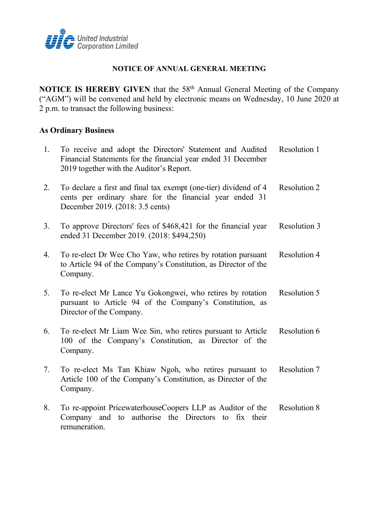

## **NOTICE OF ANNUAL GENERAL MEETING**

**NOTICE IS HEREBY GIVEN** that the 58<sup>th</sup> Annual General Meeting of the Company ("AGM") will be convened and held by electronic means on Wednesday, 10 June 2020 at 2 p.m. to transact the following business:

# **As Ordinary Business**

| 1. | To receive and adopt the Directors' Statement and Audited<br>Financial Statements for the financial year ended 31 December<br>2019 together with the Auditor's Report. | Resolution 1        |
|----|------------------------------------------------------------------------------------------------------------------------------------------------------------------------|---------------------|
| 2. | To declare a first and final tax exempt (one-tier) dividend of 4<br>cents per ordinary share for the financial year ended 31<br>December 2019. (2018: 3.5 cents)       | <b>Resolution 2</b> |
| 3. | To approve Directors' fees of \$468,421 for the financial year<br>ended 31 December 2019. (2018: \$494,250)                                                            | Resolution 3        |
| 4. | To re-elect Dr Wee Cho Yaw, who retires by rotation pursuant<br>to Article 94 of the Company's Constitution, as Director of the<br>Company.                            | <b>Resolution 4</b> |
| 5. | To re-elect Mr Lance Yu Gokongwei, who retires by rotation<br>pursuant to Article 94 of the Company's Constitution, as<br>Director of the Company.                     | Resolution 5        |
| 6. | To re-elect Mr Liam Wee Sin, who retires pursuant to Article<br>100 of the Company's Constitution, as Director of the<br>Company.                                      | Resolution 6        |
| 7. | To re-elect Ms Tan Khiaw Ngoh, who retires pursuant to<br>Article 100 of the Company's Constitution, as Director of the<br>Company.                                    | Resolution 7        |
| 8. | To re-appoint PricewaterhouseCoopers LLP as Auditor of the<br>Company and to authorise the Directors to fix their<br>remuneration.                                     | <b>Resolution 8</b> |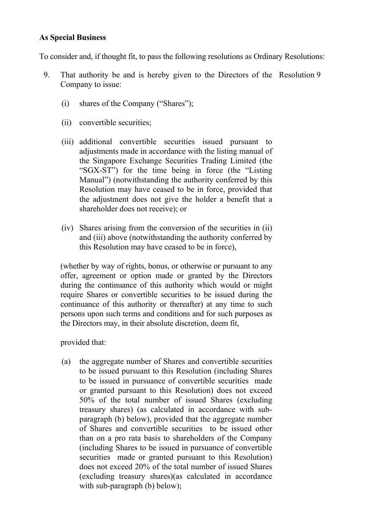# **As Special Business**

To consider and, if thought fit, to pass the following resolutions as Ordinary Resolutions:

- 9. That authority be and is hereby given to the Directors of the Resolution 9Company to issue:
	- (i) shares of the Company ("Shares");
	- (ii) convertible securities;
	- (iii) additional convertible securities issued pursuant to adjustments made in accordance with the listing manual of the Singapore Exchange Securities Trading Limited (the "SGX-ST") for the time being in force (the "Listing Manual") (notwithstanding the authority conferred by this Resolution may have ceased to be in force, provided that the adjustment does not give the holder a benefit that a shareholder does not receive); or
	- (iv) Shares arising from the conversion of the securities in (ii) and (iii) above (notwithstanding the authority conferred by this Resolution may have ceased to be in force),

(whether by way of rights, bonus, or otherwise or pursuant to any offer, agreement or option made or granted by the Directors during the continuance of this authority which would or might require Shares or convertible securities to be issued during the continuance of this authority or thereafter) at any time to such persons upon such terms and conditions and for such purposes as the Directors may, in their absolute discretion, deem fit,

provided that:

(a) the aggregate number of Shares and convertible securities to be issued pursuant to this Resolution (including Shares to be issued in pursuance of convertible securities made or granted pursuant to this Resolution) does not exceed 50% of the total number of issued Shares (excluding treasury shares) (as calculated in accordance with subparagraph (b) below), provided that the aggregate number of Shares and convertible securities to be issued other than on a pro rata basis to shareholders of the Company (including Shares to be issued in pursuance of convertible securities made or granted pursuant to this Resolution) does not exceed 20% of the total number of issued Shares (excluding treasury shares)(as calculated in accordance with sub-paragraph (b) below);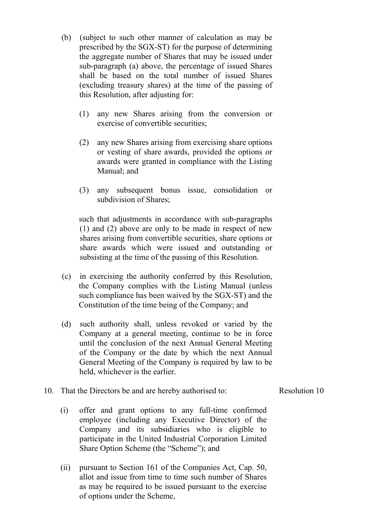- (b) (subject to such other manner of calculation as may be prescribed by the SGX-ST) for the purpose of determining the aggregate number of Shares that may be issued under sub-paragraph (a) above, the percentage of issued Shares shall be based on the total number of issued Shares (excluding treasury shares) at the time of the passing of this Resolution, after adjusting for:
	- (1) any new Shares arising from the conversion or exercise of convertible securities;
	- (2) any new Shares arising from exercising share options or vesting of share awards, provided the options or awards were granted in compliance with the Listing Manual; and
	- (3) any subsequent bonus issue, consolidation or subdivision of Shares;

such that adjustments in accordance with sub-paragraphs (1) and (2) above are only to be made in respect of new shares arising from convertible securities, share options or share awards which were issued and outstanding or subsisting at the time of the passing of this Resolution.

- (c) in exercising the authority conferred by this Resolution, the Company complies with the Listing Manual (unless such compliance has been waived by the SGX-ST) and the Constitution of the time being of the Company; and
- (d) such authority shall, unless revoked or varied by the Company at a general meeting, continue to be in force until the conclusion of the next Annual General Meeting of the Company or the date by which the next Annual General Meeting of the Company is required by law to be held, whichever is the earlier.

### 10. That the Directors be and are hereby authorised to:

Resolution 10

- (i) offer and grant options to any full-time confirmed employee (including any Executive Director) of the Company and its subsidiaries who is eligible to participate in the United Industrial Corporation Limited Share Option Scheme (the "Scheme"); and
- (ii) pursuant to Section 161 of the Companies Act, Cap. 50, allot and issue from time to time such number of Shares as may be required to be issued pursuant to the exercise of options under the Scheme,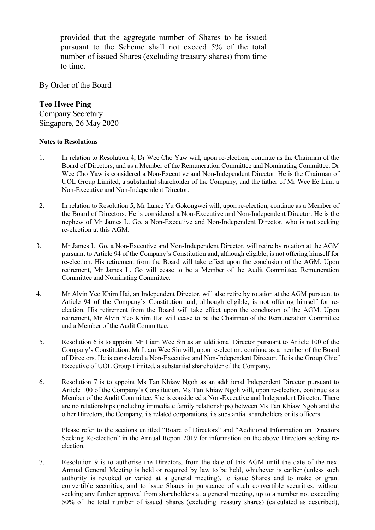provided that the aggregate number of Shares to be issued pursuant to the Scheme shall not exceed 5% of the total number of issued Shares (excluding treasury shares) from time to time.

By Order of the Board

# **Teo Hwee Ping**

Company Secretary Singapore, 26 May 2020

### **Notes to Resolutions**

- 1. In relation to Resolution 4, Dr Wee Cho Yaw will, upon re-election, continue as the Chairman of the Board of Directors, and as a Member of the Remuneration Committee and Nominating Committee. Dr Wee Cho Yaw is considered a Non-Executive and Non-Independent Director. He is the Chairman of UOL Group Limited, a substantial shareholder of the Company, and the father of Mr Wee Ee Lim, a Non-Executive and Non-Independent Director.
- 2. In relation to Resolution 5, Mr Lance Yu Gokongwei will, upon re-election, continue as a Member of the Board of Directors. He is considered a Non-Executive and Non-Independent Director. He is the nephew of Mr James L. Go, a Non-Executive and Non-Independent Director, who is not seeking re-election at this AGM.
- 3. Mr James L. Go, a Non-Executive and Non-Independent Director, will retire by rotation at the AGM pursuant to Article 94 of the Company's Constitution and, although eligible, is not offering himself for re-election. His retirement from the Board will take effect upon the conclusion of the AGM. Upon retirement, Mr James L. Go will cease to be a Member of the Audit Committee, Remuneration Committee and Nominating Committee.
- 4. Mr Alvin Yeo Khirn Hai, an Independent Director, will also retire by rotation at the AGM pursuant to Article 94 of the Company's Constitution and, although eligible, is not offering himself for reelection. His retirement from the Board will take effect upon the conclusion of the AGM. Upon retirement, Mr Alvin Yeo Khirn Hai will cease to be the Chairman of the Remuneration Committee and a Member of the Audit Committee.
- 5. Resolution 6 is to appoint Mr Liam Wee Sin as an additional Director pursuant to Article 100 of the Company's Constitution. Mr Liam Wee Sin will, upon re-election, continue as a member of the Board of Directors. He is considered a Non-Executive and Non-Independent Director. He is the Group Chief Executive of UOL Group Limited, a substantial shareholder of the Company.
- 6. Resolution 7 is to appoint Ms Tan Khiaw Ngoh as an additional Independent Director pursuant to Article 100 of the Company's Constitution. Ms Tan Khiaw Ngoh will, upon re-election, continue as a Member of the Audit Committee. She is considered a Non-Executive and Independent Director. There are no relationships (including immediate family relationships) between Ms Tan Khiaw Ngoh and the other Directors, the Company, its related corporations, its substantial shareholders or its officers.

Please refer to the sections entitled "Board of Directors" and "Additional Information on Directors Seeking Re-election" in the Annual Report 2019 for information on the above Directors seeking reelection.

7. Resolution 9 is to authorise the Directors, from the date of this AGM until the date of the next Annual General Meeting is held or required by law to be held, whichever is earlier (unless such authority is revoked or varied at a general meeting), to issue Shares and to make or grant convertible securities, and to issue Shares in pursuance of such convertible securities, without seeking any further approval from shareholders at a general meeting, up to a number not exceeding 50% of the total number of issued Shares (excluding treasury shares) (calculated as described),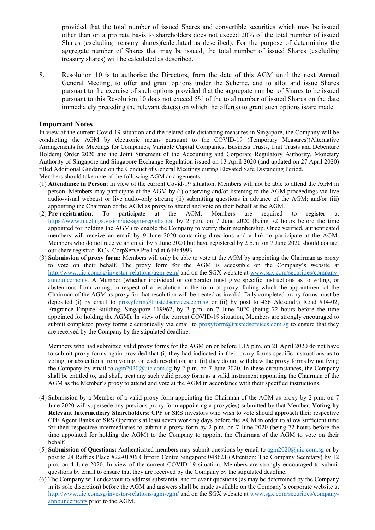provided that the total number of issued Shares and convertible securities which may be issued other than on a pro rata basis to shareholders does not exceed 20% of the total number of issued Shares (excluding treasury shares)(calculated as described). For the purpose of determining the aggregate number of Shares that may be issued, the total number of issued Shares (excluding treasury shares) will be calculated as described.

8. Resolution 10 is to authorise the Directors, from the date of this AGM until the next Annual General Meeting, to offer and grant options under the Scheme, and to allot and issue Shares pursuant to the exercise of such options provided that the aggregate number of Shares to be issued pursuant to this Resolution 10 does not exceed 5% of the total number of issued Shares on the date immediately preceding the relevant date(s) on which the offer(s) to grant such options is/are made.

#### **Important Notes**

In view of the current Covid-19 situation and the related safe distancing measures in Singapore, the Company will be conducting the AGM by electronic means pursuant to the COVID-19 (Temporary Measures)(Alternative Arrangements for Meetings for Companies, Variable Capital Companies, Business Trusts, Unit Trusts and Debenture Holders) Order 2020 and the Joint Statement of the Accounting and Corporate Regulatory Authority, Monetary Authority of Singapore and Singapore Exchange Regulation issued on 13 April 2020 (and updated on 27 April 2020) titled Additional Guidance on the Conduct of General Meetings during Elevated Safe Distancing Period. Members should take note of the following AGM arrangements:

- (1) **Attendance in Person**: In view of the current Covid-19 situation, Members will not be able to attend the AGM in person. Members may participate at the AGM by (i) observing and/or listening to the AGM proceedings via live audio-visual webcast or live audio-only stream; (ii) submitting questions in advance of the AGM; and/or (iii) appointing the Chairman of the AGM as proxy to attend and vote on their behalf at the AGM.
- (2) **Pre-registration**: To participate at the AGM, Members are required to register at <https://www.meetings.vision/uic-agm-registration> by 2 p.m. on 7 June 2020 (being 72 hours before the time appointed for holding the AGM) to enable the Company to verify their membership. Once verified, authenticated members will receive an email by 9 June 2020 containing directions and a link to participate at the AGM. Members who do not receive an email by 9 June 2020 but have registered by 2 p.m. on 7 June 2020 should contact our share registrar, KCK CorpServe Pte Ltd at 64964993.
- (3) **Submission of proxy form:** Members will only be able to vote at the AGM by appointing the Chairman as proxy to vote on their behalf. The proxy form for the AGM is accessible on the Company's website at <http://www.uic.com.sg/investor-relations/agm-egm/> and on the SGX website at [www.sgx.com/securities/company](http://www.sgx.com/securities/company-announcements)[announcements.](http://www.sgx.com/securities/company-announcements) A Member (whether individual or corporate) must give specific instructions as to voting, or abstentions from voting, in respect of a resolution in the form of proxy, failing which the appointment of the Chairman of the AGM as proxy for that resolution will be treated as invalid. Duly completed proxy forms must be deposited (i) by email to  $proxform(\partial x)$  trustedservices.com.sg or (ii) by post to 456 Alexandra Road #14-02, Fragrance Empire Building, Singapore 119962, by 2 p.m. on 7 June 2020 (being 72 hours before the time appointed for holding the AGM). In view of the current COVID-19 situation, Members are strongly encouraged to submit completed proxy forms electronically via email to [proxyform@trustedservices.com.sg](mailto:proxyform@trustedservices.com.sg) to ensure that they are received by the Company by the stipulated deadline.

Members who had submitted valid proxy forms for the AGM on or before 1.15 p.m. on 21 April 2020 do not have to submit proxy forms again provided that (i) they had indicated in their proxy forms specific instructions as to voting, or abstentions from voting, on each resolution; and (ii) they do not withdraw the proxy forms by notifying the Company by email to [agm2020@uic.com.sg](mailto:agm2020@uic.com.sg) by 2 p.m. on 7 June 2020. In these circumstances, the Company shall be entitled to, and shall, treat any such valid proxy form as a valid instrument appointing the Chairman of the AGM as the Member's proxy to attend and vote at the AGM in accordance with their specified instructions.

- (4) Submission by a Member of a valid proxy form appointing the Chairman of the AGM as proxy by 2 p.m. on 7 June 2020 will supersede any previous proxy form appointing a proxy(ies) submitted by that Member. **Voting by Relevant Intermediary Shareholders**: CPF or SRS investors who wish to vote should approach their respective CPF Agent Banks or SRS Operators at least seven working days before the AGM in order to allow sufficient time for their respective intermediaries to submit a proxy form by 2 p.m. on 7 June 2020 (being 72 hours before the time appointed for holding the AGM) to the Company to appoint the Chairman of the AGM to vote on their behalf.
- (5) **Submission of Questions:** Authenticated members may submit questions by email to [agm2020@uic.com.sg](mailto:agm2020@uic.com.sg) or by post to 24 Raffles Place #22-01/06 Clifford Centre Singapore 048621 (Attention: The Company Secretary) by 12 p.m. on 4 June 2020. In view of the current COVID-19 situation, Members are strongly encouraged to submit questions by email to ensure that they are received by the Company by the stipulated deadline.
- (6) The Company will endeavour to address substantial and relevant questions (as may be determined by the Company in its sole discretion) before the AGM and answers shall be made available on the Company's corporate website at <http://www.uic.com.sg/investor-relations/agm-egm/> and on the SGX website at [www.sgx.com/securities/company](http://www.sgx.com/securities/company-announcements)[announcements](http://www.sgx.com/securities/company-announcements) prior to the AGM.